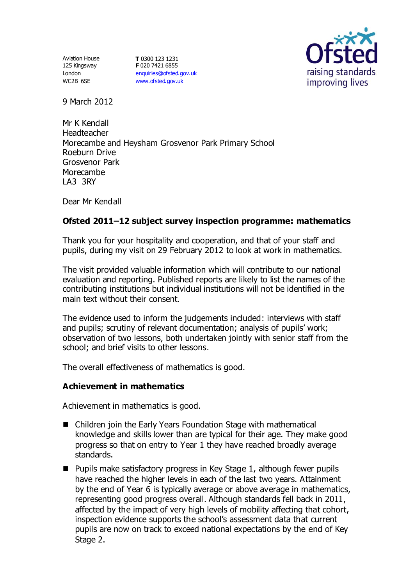Aviation House 125 Kingsway London WC2B 6SE

**T** 0300 123 1231 **F** 020 7421 6855 [enquiries@ofsted.gov.uk](mailto:enquiries@ofsted.gov.uk) [www.ofsted.gov.uk](http://www.ofsted.gov.uk/)



9 March 2012

Mr K Kendall Headteacher Morecambe and Heysham Grosvenor Park Primary School Roeburn Drive Grosvenor Park Morecambe LA3 3RY

Dear Mr Kendall

#### **Ofsted 2011–12 subject survey inspection programme: mathematics**

Thank you for your hospitality and cooperation, and that of your staff and pupils, during my visit on 29 February 2012 to look at work in mathematics.

The visit provided valuable information which will contribute to our national evaluation and reporting. Published reports are likely to list the names of the contributing institutions but individual institutions will not be identified in the main text without their consent.

The evidence used to inform the judgements included: interviews with staff and pupils; scrutiny of relevant documentation; analysis of pupils' work; observation of two lessons, both undertaken jointly with senior staff from the school; and brief visits to other lessons.

The overall effectiveness of mathematics is good.

#### **Achievement in mathematics**

Achievement in mathematics is good.

- Children join the Early Years Foundation Stage with mathematical knowledge and skills lower than are typical for their age. They make good progress so that on entry to Year 1 they have reached broadly average standards.
- $\blacksquare$  Pupils make satisfactory progress in Key Stage 1, although fewer pupils have reached the higher levels in each of the last two years. Attainment by the end of Year 6 is typically average or above average in mathematics, representing good progress overall. Although standards fell back in 2011, affected by the impact of very high levels of mobility affecting that cohort, inspection evidence supports the school's assessment data that current pupils are now on track to exceed national expectations by the end of Key Stage 2.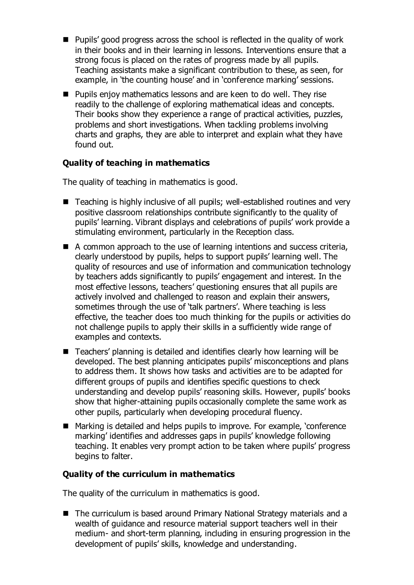- Pupils' good progress across the school is reflected in the quality of work in their books and in their learning in lessons. Interventions ensure that a strong focus is placed on the rates of progress made by all pupils. Teaching assistants make a significant contribution to these, as seen, for example, in 'the counting house' and in 'conference marking' sessions.
- Pupils enjoy mathematics lessons and are keen to do well. They rise readily to the challenge of exploring mathematical ideas and concepts. Their books show they experience a range of practical activities, puzzles, problems and short investigations. When tackling problems involving charts and graphs, they are able to interpret and explain what they have found out.

# **Quality of teaching in mathematics**

The quality of teaching in mathematics is good.

- Teaching is highly inclusive of all pupils; well-established routines and very positive classroom relationships contribute significantly to the quality of pupils' learning. Vibrant displays and celebrations of pupils' work provide a stimulating environment, particularly in the Reception class.
- A common approach to the use of learning intentions and success criteria, clearly understood by pupils, helps to support pupils' learning well. The quality of resources and use of information and communication technology by teachers adds significantly to pupils' engagement and interest. In the most effective lessons, teachers' questioning ensures that all pupils are actively involved and challenged to reason and explain their answers, sometimes through the use of 'talk partners'. Where teaching is less effective, the teacher does too much thinking for the pupils or activities do not challenge pupils to apply their skills in a sufficiently wide range of examples and contexts.
- Teachers' planning is detailed and identifies clearly how learning will be developed. The best planning anticipates pupils' misconceptions and plans to address them. It shows how tasks and activities are to be adapted for different groups of pupils and identifies specific questions to check understanding and develop pupils' reasoning skills. However, pupils' books show that higher-attaining pupils occasionally complete the same work as other pupils, particularly when developing procedural fluency.
- Marking is detailed and helps pupils to improve. For example, 'conference marking' identifies and addresses gaps in pupils' knowledge following teaching. It enables very prompt action to be taken where pupils' progress begins to falter.

#### **Quality of the curriculum in mathematics**

The quality of the curriculum in mathematics is good.

■ The curriculum is based around Primary National Strategy materials and a wealth of guidance and resource material support teachers well in their medium- and short-term planning, including in ensuring progression in the development of pupils' skills, knowledge and understanding.